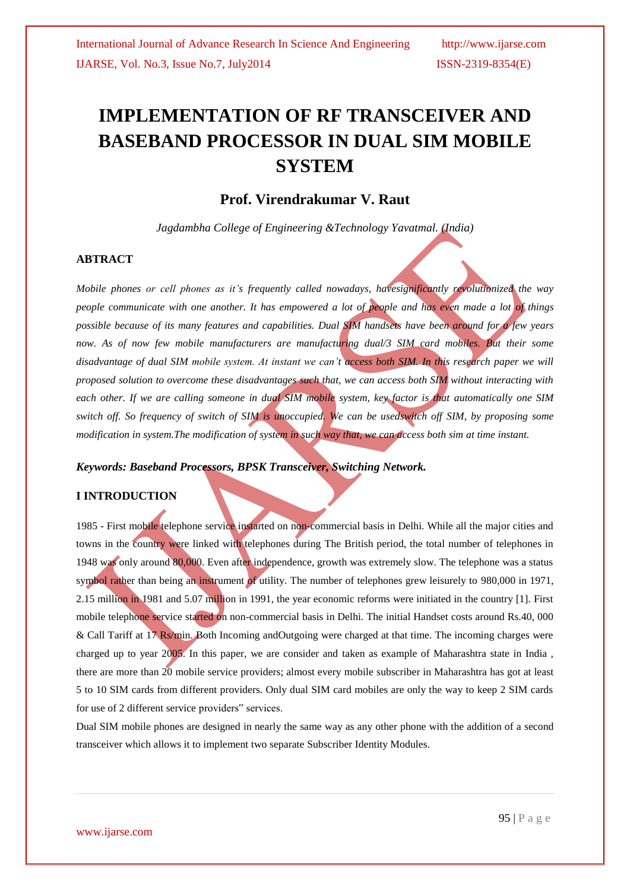# **IMPLEMENTATION OF RF TRANSCEIVER AND BASEBAND PROCESSOR IN DUAL SIM MOBILE SYSTEM**

## **Prof. Virendrakumar V. Raut**

*Jagdambha College of Engineering &Technology Yavatmal. (India)*

### **ABTRACT**

*Mobile phones or cell phones as it's frequently called nowadays, havesignificantly revolutionized the way people communicate with one another. It has empowered a lot of people and has even made a lot of things possible because of its many features and capabilities. Dual SIM handsets have been around for a few years*  now. As of now few mobile manufacturers are manufacturing dual/3 SIM card mobiles. But their some *disadvantage of dual SIM mobile system. At instant we can't access both SIM. In this research paper we will proposed solution to overcome these disadvantages such that, we can access both SIM without interacting with each other. If we are calling someone in dual SIM mobile system, key factor is that automatically one SIM switch off. So frequency of switch of SIM is unoccupied. We can be usedswitch off SIM, by proposing some modification in system.The modification of system in such way that, we can access both sim at time instant.*

#### *Keywords: Baseband Processors, BPSK Transceiver, Switching Network.*

#### **I INTRODUCTION**

1985 - First mobile telephone service instarted on non-commercial basis in Delhi. While all the major cities and towns in the country were linked with telephones during The British period, the total number of telephones in 1948 was only around 80,000. Even after independence, growth was extremely slow. The telephone was a status symbol rather than being an instrument of utility. The number of telephones grew leisurely to 980,000 in 1971, 2.15 million in 1981 and 5.07 million in 1991, the year economic reforms were initiated in the country [1]. First mobile telephone service started on non-commercial basis in Delhi. The initial Handset costs around Rs.40, 000 & Call Tariff at 17 Rs/min. Both Incoming andOutgoing were charged at that time. The incoming charges were charged up to year 2005. In this paper, we are consider and taken as example of Maharashtra state in India , there are more than 20 mobile service providers; almost every mobile subscriber in Maharashtra has got at least 5 to 10 SIM cards from different providers. Only dual SIM card mobiles are only the way to keep 2 SIM cards for use of 2 different service providers" services.

Dual SIM mobile phones are designed in nearly the same way as any other phone with the addition of a second transceiver which allows it to implement two separate Subscriber Identity Modules.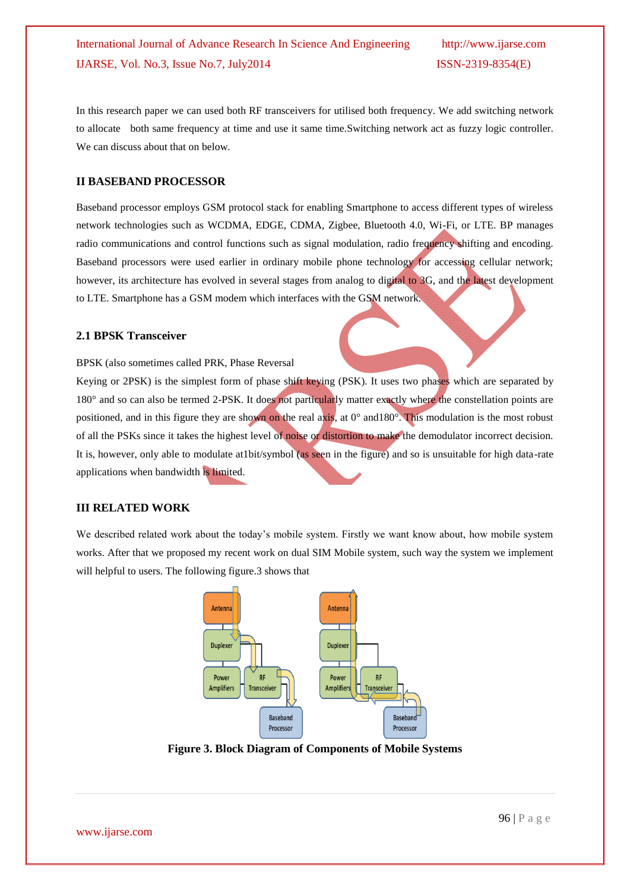In this research paper we can used both RF transceivers for utilised both frequency. We add switching network to allocate both same frequency at time and use it same time.Switching network act as fuzzy logic controller. We can discuss about that on below.

#### **II BASEBAND PROCESSOR**

Baseband processor employs GSM protocol stack for enabling Smartphone to access different types of wireless network technologies such as WCDMA, EDGE, CDMA, Zigbee, Bluetooth 4.0, Wi-Fi, or LTE. BP manages radio communications and control functions such as signal modulation, radio frequency shifting and encoding. Baseband processors were used earlier in ordinary mobile phone technology for accessing cellular network; however, its architecture has evolved in several stages from analog to digital to 3G, and the latest development to LTE. Smartphone has a GSM modem which interfaces with the GSM network.

#### **2.1 BPSK Transceiver**

BPSK (also sometimes called PRK, Phase Reversal

Keying or 2PSK) is the simplest form of phase shift keying (PSK). It uses two phases which are separated by 180° and so can also be termed 2-PSK. It does not particularly matter exactly where the constellation points are positioned, and in this figure they are shown on the real axis, at  $0^{\circ}$  and  $180^{\circ}$ . This modulation is the most robust of all the PSKs since it takes the highest level of noise or distortion to make the demodulator incorrect decision. It is, however, only able to modulate at1bit/symbol (as seen in the figure) and so is unsuitable for high data-rate applications when bandwidth is limited.

#### **III RELATED WORK**

We described related work about the today's mobile system. Firstly we want know about, how mobile system works. After that we proposed my recent work on dual SIM Mobile system, such way the system we implement will helpful to users. The following figure.3 shows that



**Figure 3. Block Diagram of Components of Mobile Systems**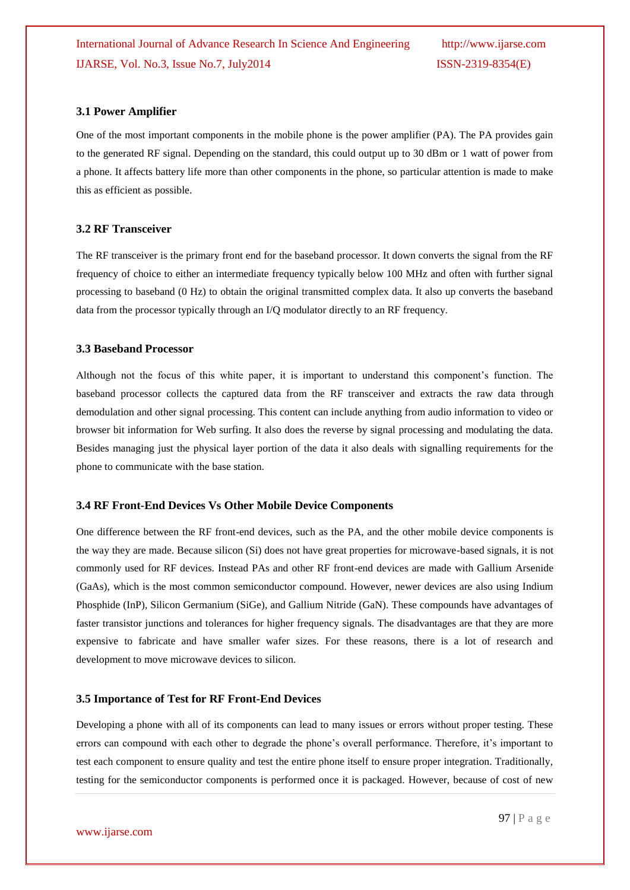#### **3.1 Power Amplifier**

One of the most important components in the mobile phone is the power amplifier (PA). The PA provides gain to the generated RF signal. Depending on the standard, this could output up to 30 dBm or 1 watt of power from a phone. It affects battery life more than other components in the phone, so particular attention is made to make this as efficient as possible.

#### **3.2 RF Transceiver**

The RF transceiver is the primary front end for the baseband processor. It down converts the signal from the RF frequency of choice to either an intermediate frequency typically below 100 MHz and often with further signal processing to baseband (0 Hz) to obtain the original transmitted complex data. It also up converts the baseband data from the processor typically through an I/Q modulator directly to an RF frequency.

#### **3.3 Baseband Processor**

Although not the focus of this white paper, it is important to understand this component's function. The baseband processor collects the captured data from the RF transceiver and extracts the raw data through demodulation and other signal processing. This content can include anything from audio information to video or browser bit information for Web surfing. It also does the reverse by signal processing and modulating the data. Besides managing just the physical layer portion of the data it also deals with signalling requirements for the phone to communicate with the base station.

#### **3.4 RF Front-End Devices Vs Other Mobile Device Components**

One difference between the RF front-end devices, such as the PA, and the other mobile device components is the way they are made. Because silicon (Si) does not have great properties for microwave-based signals, it is not commonly used for RF devices. Instead PAs and other RF front-end devices are made with Gallium Arsenide (GaAs), which is the most common semiconductor compound. However, newer devices are also using Indium Phosphide (InP), Silicon Germanium (SiGe), and Gallium Nitride (GaN). These compounds have advantages of faster transistor junctions and tolerances for higher frequency signals. The disadvantages are that they are more expensive to fabricate and have smaller wafer sizes. For these reasons, there is a lot of research and development to move microwave devices to silicon.

#### **3.5 Importance of Test for RF Front-End Devices**

Developing a phone with all of its components can lead to many issues or errors without proper testing. These errors can compound with each other to degrade the phone's overall performance. Therefore, it's important to test each component to ensure quality and test the entire phone itself to ensure proper integration. Traditionally, testing for the semiconductor components is performed once it is packaged. However, because of cost of new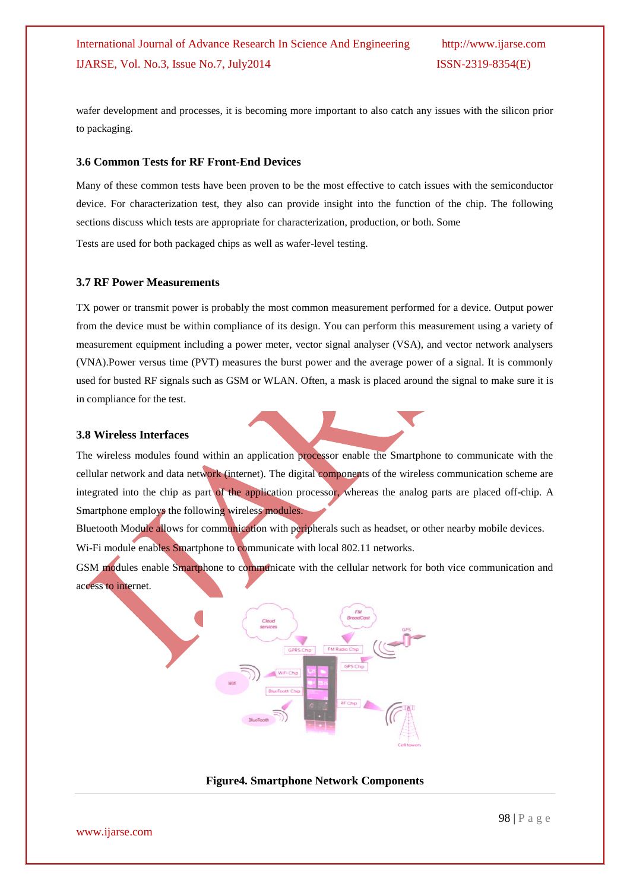wafer development and processes, it is becoming more important to also catch any issues with the silicon prior to packaging.

#### **3.6 Common Tests for RF Front-End Devices**

Many of these common tests have been proven to be the most effective to catch issues with the semiconductor device. For characterization test, they also can provide insight into the function of the chip. The following sections discuss which tests are appropriate for characterization, production, or both. Some

Tests are used for both packaged chips as well as wafer-level testing.

#### **3.7 RF Power Measurements**

TX power or transmit power is probably the most common measurement performed for a device. Output power from the device must be within compliance of its design. You can perform this measurement using a variety of measurement equipment including a power meter, vector signal analyser (VSA), and vector network analysers (VNA).Power versus time (PVT) measures the burst power and the average power of a signal. It is commonly used for busted RF signals such as GSM or WLAN. Often, a mask is placed around the signal to make sure it is in compliance for the test.

#### **3.8 Wireless Interfaces**

The wireless modules found within an application processor enable the Smartphone to communicate with the cellular network and data network (internet). The digital components of the wireless communication scheme are integrated into the chip as part of the application processor, whereas the analog parts are placed off-chip. A Smartphone employs the following wireless modules.

Bluetooth Module allows for communication with peripherals such as headset, or other nearby mobile devices. Wi-Fi module enables Smartphone to communicate with local 802.11 networks.

GSM modules enable Smartphone to communicate with the cellular network for both vice communication and access to internet.



**Figure4. Smartphone Network Components**

www.ijarse.com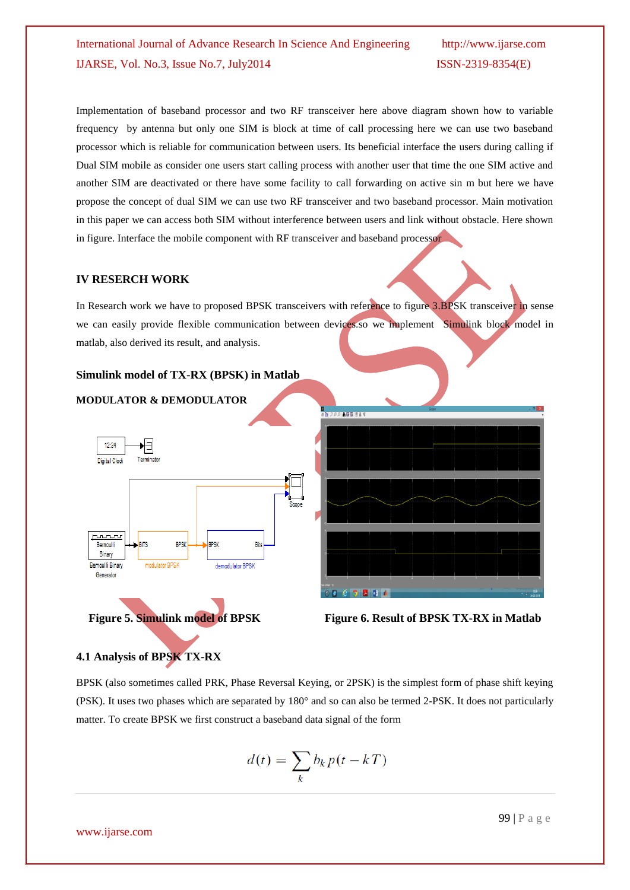Implementation of baseband processor and two RF transceiver here above diagram shown how to variable frequency by antenna but only one SIM is block at time of call processing here we can use two baseband processor which is reliable for communication between users. Its beneficial interface the users during calling if Dual SIM mobile as consider one users start calling process with another user that time the one SIM active and another SIM are deactivated or there have some facility to call forwarding on active sin m but here we have propose the concept of dual SIM we can use two RF transceiver and two baseband processor. Main motivation in this paper we can access both SIM without interference between users and link without obstacle. Here shown in figure. Interface the mobile component with RF transceiver and baseband processor

#### **IV RESERCH WORK**

In Research work we have to proposed BPSK transceivers with reference to figure 3.BPSK transceiver in sense we can easily provide flexible communication between devices.so we implement Simulink block model in matlab, also derived its result, and analysis.

#### **Simulink model of TX-RX (BPSK) in Matlab**

**MODULATOR & DEMODULATOR**









#### **4.1 Analysis of BPSK TX-RX**

BPSK (also sometimes called PRK, Phase Reversal Keying, or 2PSK) is the simplest form of phase shift keying (PSK). It uses two phases which are separated by 180° and so can also be termed 2-PSK. It does not particularly matter. To create BPSK we first construct a baseband data signal of the form

$$
d(t) = \sum_{k} b_k p(t - kT)
$$

www.ijarse.com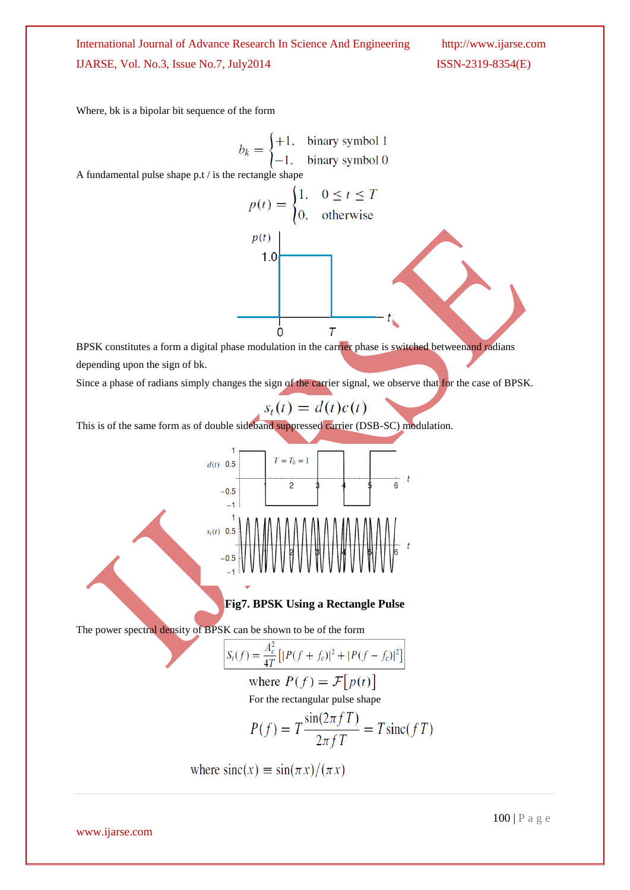Where, bk is a bipolar bit sequence of the form

$$
b_k = \begin{cases} +1, & \text{binary symbol 1} \\ -1, & \text{binary symbol 0} \end{cases}
$$

A fundamental pulse shape p.t / is the rectangle shape

$$
p(t) = \begin{cases} 1, & 0 \le t \le T \\ 0, & \text{otherwise} \end{cases}
$$
  

$$
p(t)
$$
  
1.0  
1.0  

$$
T
$$
 BPSK constitutes a form a digital phase modulation in the carrier phase is switched between and radians

depending upon the sign of bk.

Since a phase of radians simply changes the sign of the carrier signal, we observe that for the case of BPSK.

$$
s_t(t) = d(t)c(t)
$$

This is of the same form as of double sideband suppressed carrier (DSB-SC) modulation.



**Fig7. BPSK Using a Rectangle Pulse**

The power spectral density of BPSK can be shown to be of the form

$$
S_t(f) = \frac{A_c^2}{4T} \left[ |P(f + f_c)|^2 + |P(f - f_c)|^2 \right]
$$

where 
$$
P(f) = \mathcal{F}[p(t)]
$$

For the rectangular pulse shape

$$
P(f) = T \frac{\sin(2\pi f T)}{2\pi f T} = T \operatorname{sinc}(f T)
$$

where  $\operatorname{sinc}(x) \equiv \sin(\pi x)/(\pi x)$ 

www.ijarse.com

100 | P a g e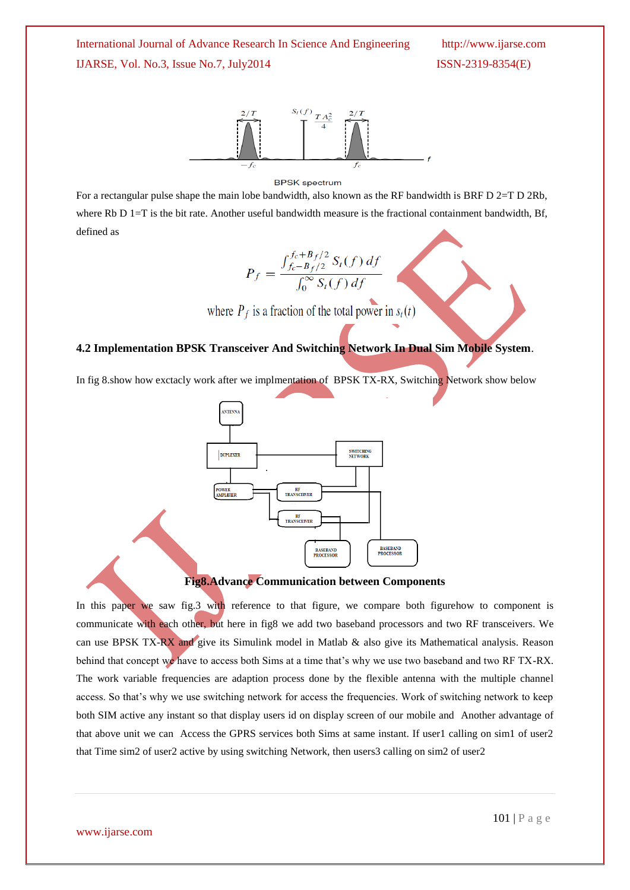

#### **BPSK** spectrum

For a rectangular pulse shape the main lobe bandwidth, also known as the RF bandwidth is BRF D 2=T D 2Rb, where Rb D 1=T is the bit rate. Another useful bandwidth measure is the fractional containment bandwidth, Bf, defined as

$$
P_f = \frac{\int_{f_c - B_f/2}^{f_c + B_f/2} S_t(f) \, df}{\int_0^\infty S_t(f) \, df}
$$

where  $P_f$  is a fraction of the total power in  $s_t(t)$ 

#### **4.2 Implementation BPSK Transceiver And Switching Network In Dual Sim Mobile System**.

In fig 8.show how exctacly work after we implmentation of BPSK TX-RX, Switching Network show below



#### **Fig8.Advance Communication between Components**

In this paper we saw fig.3 with reference to that figure, we compare both figurehow to component is communicate with each other, but here in fig8 we add two baseband processors and two RF transceivers. We can use BPSK TX-RX and give its Simulink model in Matlab & also give its Mathematical analysis. Reason behind that concept we have to access both Sims at a time that's why we use two baseband and two RF TX-RX. The work variable frequencies are adaption process done by the flexible antenna with the multiple channel access. So that's why we use switching network for access the frequencies. Work of switching network to keep both SIM active any instant so that display users id on display screen of our mobile and Another advantage of that above unit we can Access the GPRS services both Sims at same instant. If user1 calling on sim1 of user2 that Time sim2 of user2 active by using switching Network, then users3 calling on sim2 of user2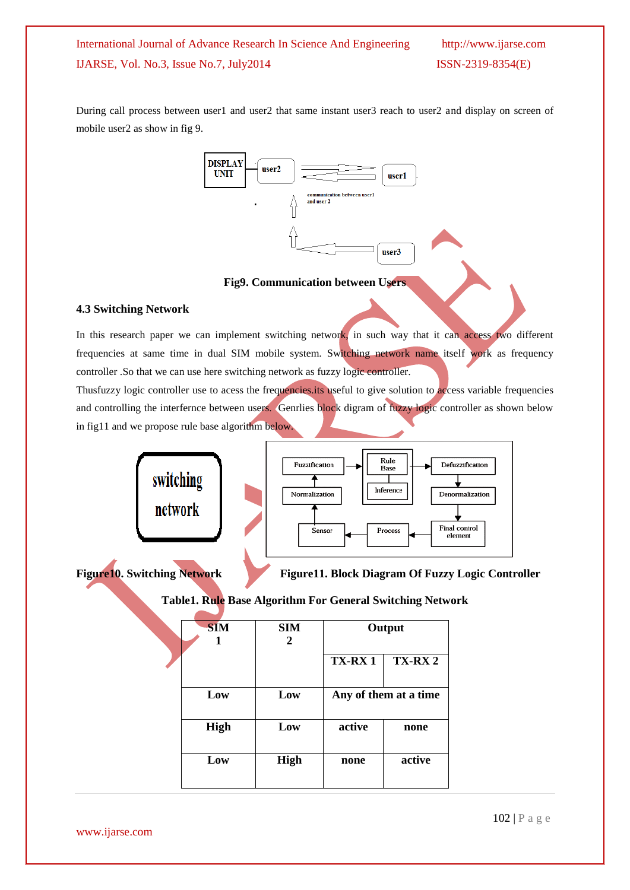During call process between user1 and user2 that same instant user3 reach to user2 and display on screen of mobile user2 as show in fig 9.



## **Fig9. Communication between Users**

## **4.3 Switching Network**

In this research paper we can implement switching network, in such way that it can access two different frequencies at same time in dual SIM mobile system. Switching network name itself work as frequency controller .So that we can use here switching network as fuzzy logic controller.

Thusfuzzy logic controller use to acess the frequencies its useful to give solution to access variable frequencies and controlling the interfernce between users. Genrlies block digram of fuzzy logic controller as shown below in fig11 and we propose rule base algorithm below.



Figure10. Switching Network Figure11. Block Diagram Of Fuzzy Logic Controller

**Table1. Rule Base Algorithm For General Switching Network**

| <b>SIM</b><br>2 | Output                |               |
|-----------------|-----------------------|---------------|
|                 | <b>TX-RX1</b>         | <b>TX-RX2</b> |
| Low             | Any of them at a time |               |
| Low             | active                | none          |
| <b>High</b>     | none                  | active        |
|                 |                       |               |

www.ijarse.com

102 | P a g e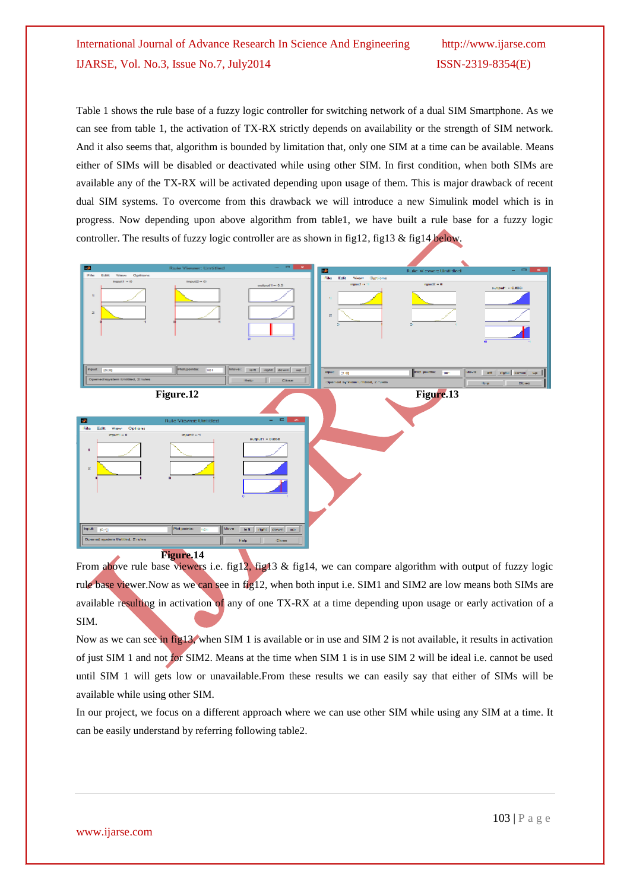Table 1 shows the rule base of a fuzzy logic controller for switching network of a dual SIM Smartphone. As we can see from table 1, the activation of TX-RX strictly depends on availability or the strength of SIM network. And it also seems that, algorithm is bounded by limitation that, only one SIM at a time can be available. Means either of SIMs will be disabled or deactivated while using other SIM. In first condition, when both SIMs are available any of the TX-RX will be activated depending upon usage of them. This is major drawback of recent dual SIM systems. To overcome from this drawback we will introduce a new Simulink model which is in progress. Now depending upon above algorithm from table1, we have built a rule base for a fuzzy logic controller. The results of fuzzy logic controller are as shown in fig12, fig13 & fig14 below.



From above rule base viewers i.e. fig12, fig13 & fig14, we can compare algorithm with output of fuzzy logic rule base viewer.Now as we can see in fig12, when both input i.e. SIM1 and SIM2 are low means both SIMs are available resulting in activation of any of one TX-RX at a time depending upon usage or early activation of a SIM.

Now as we can see in fig13, when SIM 1 is available or in use and SIM 2 is not available, it results in activation of just SIM 1 and not for SIM2. Means at the time when SIM 1 is in use SIM 2 will be ideal i.e. cannot be used until SIM 1 will gets low or unavailable.From these results we can easily say that either of SIMs will be available while using other SIM.

In our project, we focus on a different approach where we can use other SIM while using any SIM at a time. It can be easily understand by referring following table2.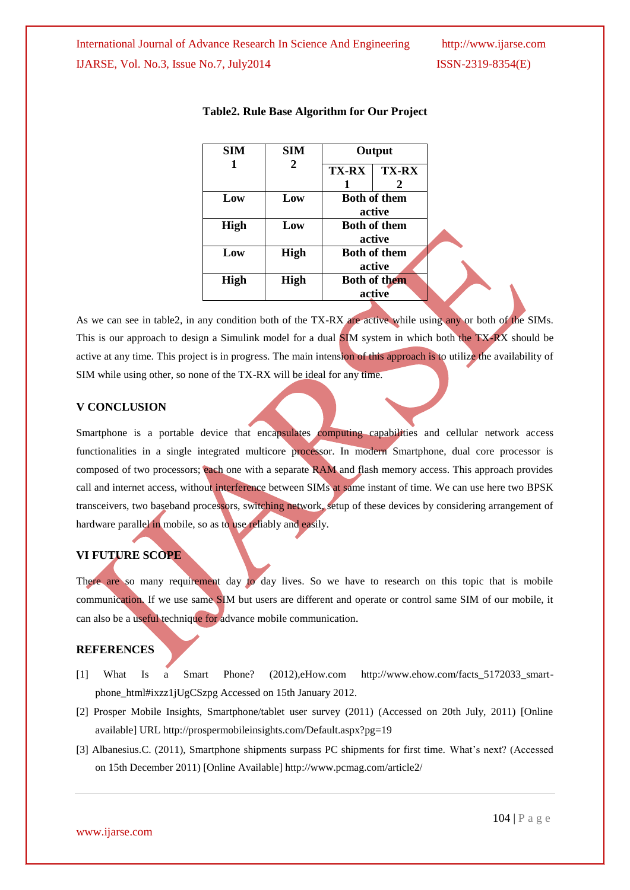| SIM         | <b>SIM</b>  | Output              |              |
|-------------|-------------|---------------------|--------------|
| 1           | 2           | <b>TX-RX</b>        | <b>TX-RX</b> |
|             |             |                     | 2            |
| Low         | Low         | <b>Both of them</b> |              |
|             |             | active              |              |
| <b>High</b> | Low         | <b>Both of them</b> |              |
|             |             | active              |              |
| Low         | <b>High</b> | <b>Both of them</b> |              |
|             |             |                     | active       |
| High        | High        | <b>Both of them</b> |              |
|             |             |                     | active       |

#### **Table2. Rule Base Algorithm for Our Project**

As we can see in table2, in any condition both of the TX-RX are active while using any or both of the SIMs. This is our approach to design a Simulink model for a dual **SI**M system in which both the TX-RX should be active at any time. This project is in progress. The main intension of this approach is to utilize the availability of SIM while using other, so none of the TX-RX will be ideal for any time.

### **V CONCLUSION**

Smartphone is a portable device that encapsulates computing capabilities and cellular network access functionalities in a single integrated multicore processor. In modern Smartphone, dual core processor is composed of two processors; each one with a separate RAM and flash memory access. This approach provides call and internet access, without interference between SIMs at same instant of time. We can use here two BPSK transceivers, two baseband processors, switching network, setup of these devices by considering arrangement of hardware parallel in mobile, so as to use reliably and easily.

## **VI FUTURE SCOPE**

There are so many requirement day to day lives. So we have to research on this topic that is mobile communication. If we use same SIM but users are different and operate or control same SIM of our mobile, it can also be a useful technique for advance mobile communication.

#### **REFERENCES**

- [1] What Is a Smart Phone? (2012),eHow.com http://www.ehow.com/facts\_5172033\_smartphone\_html#ixzz1jUgCSzpg Accessed on 15th January 2012.
- [2] Prosper Mobile Insights, Smartphone/tablet user survey (2011) (Accessed on 20th July, 2011) [Online available] URL http://prospermobileinsights.com/Default.aspx?pg=19
- [3] Albanesius.C. (2011), Smartphone shipments surpass PC shipments for first time. What's next? (Accessed on 15th December 2011) [Online Available] http://www.pcmag.com/article2/